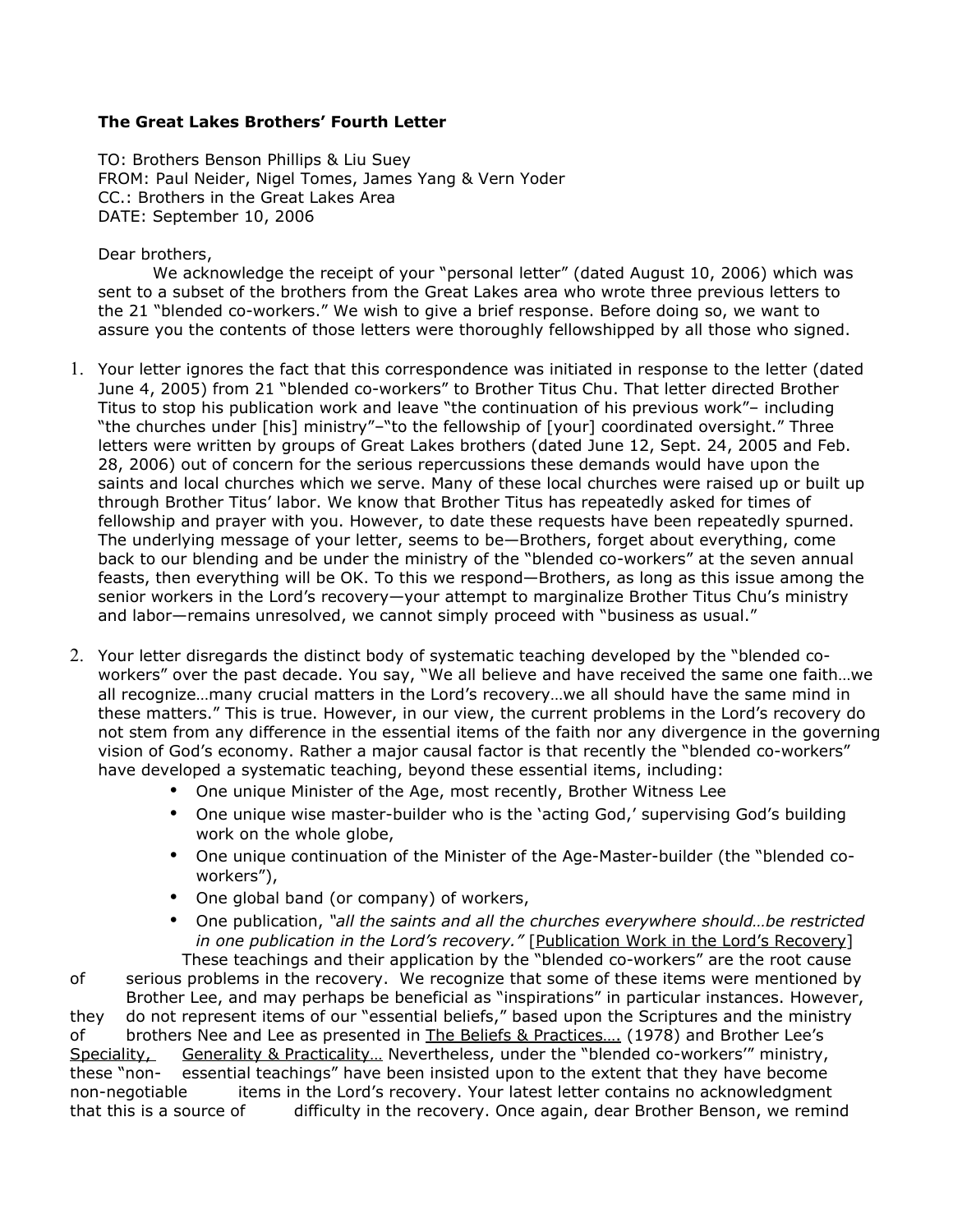## **The Great Lakes Brothers' Fourth Letter**

TO: Brothers Benson Phillips & Liu Suey FROM: Paul Neider, Nigel Tomes, James Yang & Vern Yoder CC.: Brothers in the Great Lakes Area DATE: September 10, 2006

Dear brothers,

We acknowledge the receipt of your "personal letter" (dated August 10, 2006) which was sent to a subset of the brothers from the Great Lakes area who wrote three previous letters to the 21 "blended co-workers." We wish to give a brief response. Before doing so, we want to assure you the contents of those letters were thoroughly fellowshipped by all those who signed.

- 1. Your letter ignores the fact that this correspondence was initiated in response to the letter (dated June 4, 2005) from 21 "blended co-workers" to Brother Titus Chu. That letter directed Brother Titus to stop his publication work and leave "the continuation of his previous work"– including "the churches under [his] ministry"–"to the fellowship of [your] coordinated oversight." Three letters were written by groups of Great Lakes brothers (dated June 12, Sept. 24, 2005 and Feb. 28, 2006) out of concern for the serious repercussions these demands would have upon the saints and local churches which we serve. Many of these local churches were raised up or built up through Brother Titus' labor. We know that Brother Titus has repeatedly asked for times of fellowship and prayer with you. However, to date these requests have been repeatedly spurned. The underlying message of your letter, seems to be—Brothers, forget about everything, come back to our blending and be under the ministry of the "blended co-workers" at the seven annual feasts, then everything will be OK. To this we respond—Brothers, as long as this issue among the senior workers in the Lord's recovery—your attempt to marginalize Brother Titus Chu's ministry and labor—remains unresolved, we cannot simply proceed with "business as usual."
- 2. Your letter disregards the distinct body of systematic teaching developed by the "blended coworkers" over the past decade. You say, "We all believe and have received the same one faith…we all recognize…many crucial matters in the Lord's recovery…we all should have the same mind in these matters." This is true. However, in our view, the current problems in the Lord's recovery do not stem from any difference in the essential items of the faith nor any divergence in the governing vision of God's economy. Rather a major causal factor is that recently the "blended co-workers" have developed a systematic teaching, beyond these essential items, including:
	- One unique Minister of the Age, most recently, Brother Witness Lee
	- One unique wise master-builder who is the 'acting God,' supervising God's building work on the whole globe,
	- One unique continuation of the Minister of the Age-Master-builder (the "blended coworkers"),
	- One global band (or company) of workers,
	- One publication, *"all the saints and all the churches everywhere should…be restricted in one publication in the Lord's recovery."* [Publication Work in the Lord's Recovery] These teachings and their application by the "blended co-workers" are the root cause

of serious problems in the recovery. We recognize that some of these items were mentioned by Brother Lee, and may perhaps be beneficial as "inspirations" in particular instances. However, they do not represent items of our "essential beliefs," based upon the Scriptures and the ministry of brothers Nee and Lee as presented in The Beliefs & Practices.... (1978) and Brother Lee's Speciality, Generality & Practicality... Nevertheless, under the "blended co-workers" ministry, these "non- essential teachings" have been insisted upon to the extent that they have become non-negotiable items in the Lord's recovery. Your latest letter contains no acknowledgment that this is a source of difficulty in the recovery. Once again, dear Brother Benson, we remind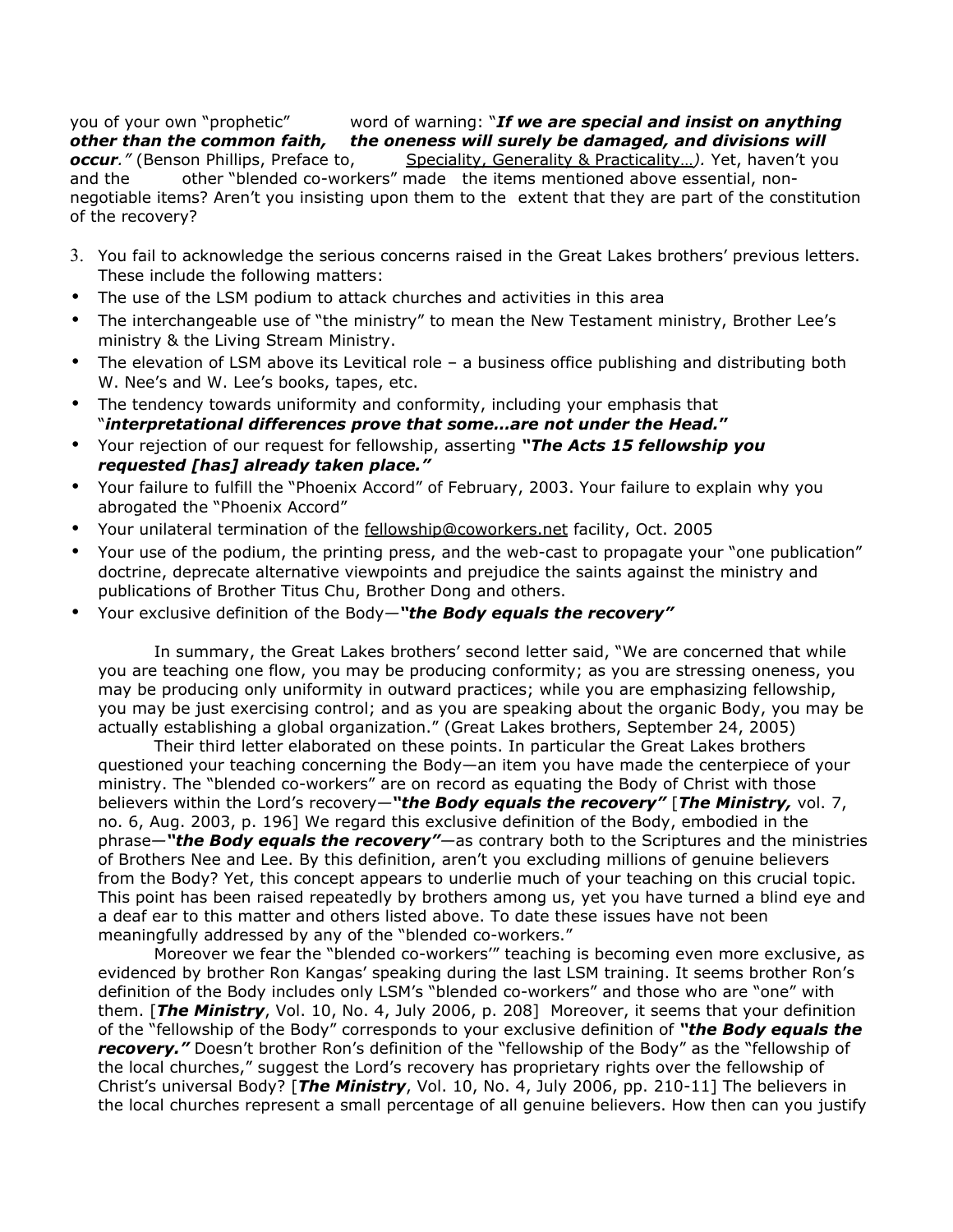you of your own "prophetic" word of warning: "*If we are special and insist on anything other than the common faith, the oneness will surely be damaged, and divisions will occur.*" (Benson Phillips, Preface to, Speciality, Generality & Practicality...). Yet, haven't you and the other "blended co-workers" made the items mentioned above essential, nonnegotiable items? Aren't you insisting upon them to the extent that they are part of the constitution of the recovery?

- 3. You fail to acknowledge the serious concerns raised in the Great Lakes brothers' previous letters. These include the following matters:
- The use of the LSM podium to attack churches and activities in this area
- The interchangeable use of "the ministry" to mean the New Testament ministry, Brother Lee's ministry & the Living Stream Ministry.
- The elevation of LSM above its Levitical role a business office publishing and distributing both W. Nee's and W. Lee's books, tapes, etc.
- The tendency towards uniformity and conformity, including your emphasis that "*interpretational differences prove that some…are not under the Head.***"**
- Your rejection of our request for fellowship, asserting *"The Acts 15 fellowship you requested [has] already taken place."*
- Your failure to fulfill the "Phoenix Accord" of February, 2003. Your failure to explain why you abrogated the "Phoenix Accord"
- Your unilateral termination of the fellowship@coworkers.net facility, Oct. 2005
- Your use of the podium, the printing press, and the web-cast to propagate your "one publication" doctrine, deprecate alternative viewpoints and prejudice the saints against the ministry and publications of Brother Titus Chu, Brother Dong and others.
- Your exclusive definition of the Body*—"the Body equals the recovery"*

In summary, the Great Lakes brothers' second letter said, "We are concerned that while you are teaching one flow, you may be producing conformity; as you are stressing oneness, you may be producing only uniformity in outward practices; while you are emphasizing fellowship, you may be just exercising control; and as you are speaking about the organic Body, you may be actually establishing a global organization." (Great Lakes brothers, September 24, 2005)

Their third letter elaborated on these points. In particular the Great Lakes brothers questioned your teaching concerning the Body—an item you have made the centerpiece of your ministry. The "blended co-workers" are on record as equating the Body of Christ with those believers within the Lord's recovery*—"the Body equals the recovery"* [*The Ministry,* vol. 7, no. 6, Aug. 2003, p. 196] We regard this exclusive definition of the Body, embodied in the phrase*—"the Body equals the recovery"—*as contrary both to the Scriptures and the ministries of Brothers Nee and Lee. By this definition, aren't you excluding millions of genuine believers from the Body? Yet, this concept appears to underlie much of your teaching on this crucial topic. This point has been raised repeatedly by brothers among us, yet you have turned a blind eye and a deaf ear to this matter and others listed above. To date these issues have not been meaningfully addressed by any of the "blended co-workers."

Moreover we fear the "blended co-workers'" teaching is becoming even more exclusive, as evidenced by brother Ron Kangas' speaking during the last LSM training. It seems brother Ron's definition of the Body includes only LSM's "blended co-workers" and those who are "one" with them. [*The Ministry*, Vol. 10, No. 4, July 2006, p. 208] Moreover, it seems that your definition of the "fellowship of the Body" corresponds to your exclusive definition of *"the Body equals the recovery."* Doesn't brother Ron's definition of the "fellowship of the Body" as the "fellowship of the local churches," suggest the Lord's recovery has proprietary rights over the fellowship of Christ's universal Body? [*The Ministry*, Vol. 10, No. 4, July 2006, pp. 210-11] The believers in the local churches represent a small percentage of all genuine believers. How then can you justify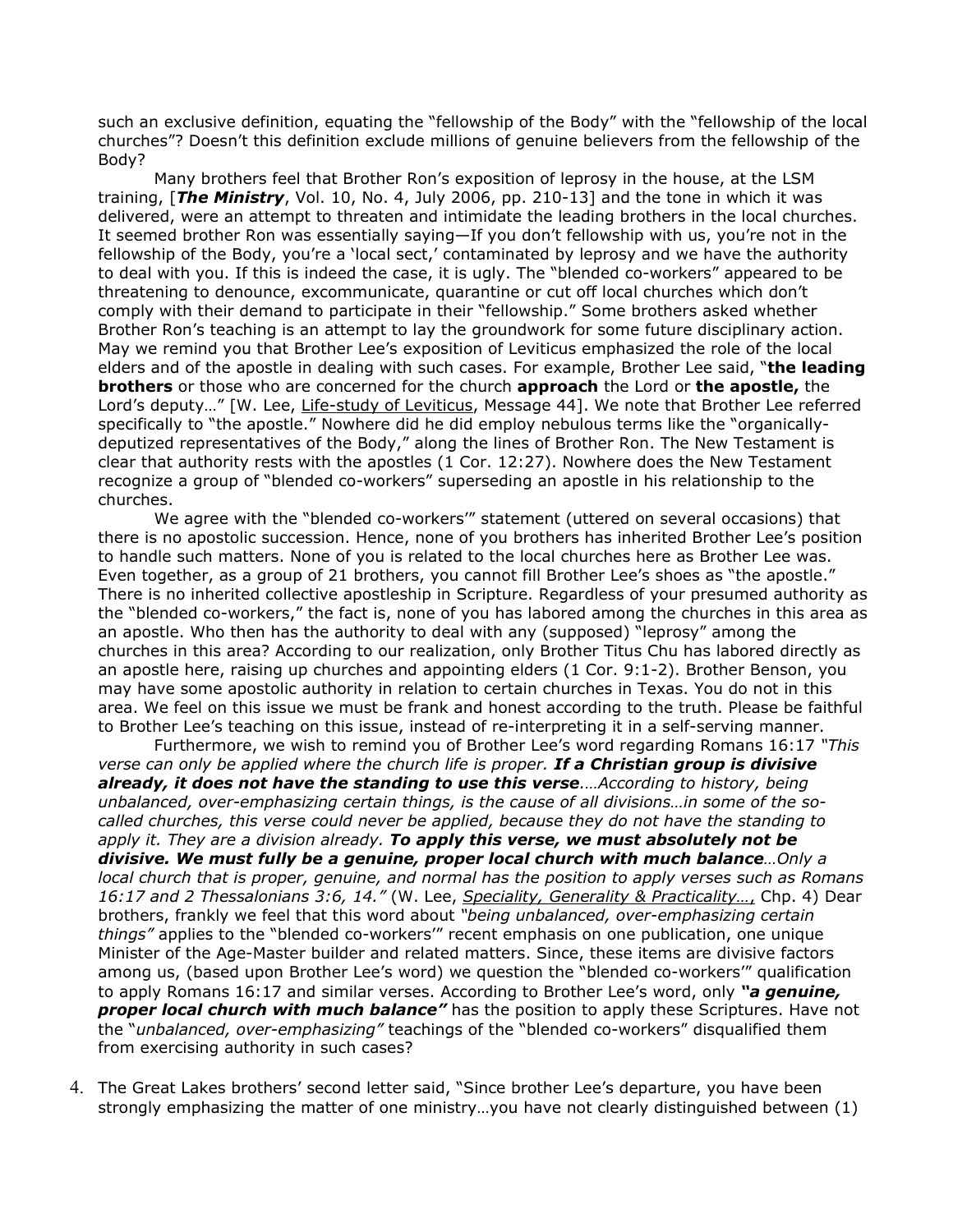such an exclusive definition, equating the "fellowship of the Body" with the "fellowship of the local churches"? Doesn't this definition exclude millions of genuine believers from the fellowship of the Body?

Many brothers feel that Brother Ron's exposition of leprosy in the house, at the LSM training, [*The Ministry*, Vol. 10, No. 4, July 2006, pp. 210-13] and the tone in which it was delivered, were an attempt to threaten and intimidate the leading brothers in the local churches. It seemed brother Ron was essentially saying—If you don't fellowship with us, you're not in the fellowship of the Body, you're a 'local sect,' contaminated by leprosy and we have the authority to deal with you. If this is indeed the case, it is ugly. The "blended co-workers" appeared to be threatening to denounce, excommunicate, quarantine or cut off local churches which don't comply with their demand to participate in their "fellowship." Some brothers asked whether Brother Ron's teaching is an attempt to lay the groundwork for some future disciplinary action. May we remind you that Brother Lee's exposition of Leviticus emphasized the role of the local elders and of the apostle in dealing with such cases. For example, Brother Lee said, "**the leading brothers** or those who are concerned for the church **approach** the Lord or **the apostle,** the Lord's deputy…" [W. Lee, Life-study of Leviticus, Message 44]. We note that Brother Lee referred specifically to "the apostle." Nowhere did he did employ nebulous terms like the "organicallydeputized representatives of the Body," along the lines of Brother Ron. The New Testament is clear that authority rests with the apostles (1 Cor. 12:27). Nowhere does the New Testament recognize a group of "blended co-workers" superseding an apostle in his relationship to the churches.

We agree with the "blended co-workers'" statement (uttered on several occasions) that there is no apostolic succession. Hence, none of you brothers has inherited Brother Lee's position to handle such matters. None of you is related to the local churches here as Brother Lee was. Even together, as a group of 21 brothers, you cannot fill Brother Lee's shoes as "the apostle." There is no inherited collective apostleship in Scripture. Regardless of your presumed authority as the "blended co-workers," the fact is, none of you has labored among the churches in this area as an apostle. Who then has the authority to deal with any (supposed) "leprosy" among the churches in this area? According to our realization, only Brother Titus Chu has labored directly as an apostle here, raising up churches and appointing elders (1 Cor. 9:1-2). Brother Benson, you may have some apostolic authority in relation to certain churches in Texas. You do not in this area. We feel on this issue we must be frank and honest according to the truth. Please be faithful to Brother Lee's teaching on this issue, instead of re-interpreting it in a self-serving manner.

Furthermore, we wish to remind you of Brother Lee's word regarding Romans 16:17 *"This verse can only be applied where the church life is proper. If a Christian group is divisive already, it does not have the standing to use this verse.…According to history, being unbalanced, over-emphasizing certain things, is the cause of all divisions…in some of the socalled churches, this verse could never be applied, because they do not have the standing to apply it. They are a division already. To apply this verse, we must absolutely not be divisive. We must fully be a genuine, proper local church with much balance…Only a local church that is proper, genuine, and normal has the position to apply verses such as Romans 16:17 and 2 Thessalonians 3:6, 14."* (W. Lee, *S peciality, Generality & Practicality…*,Chp. 4) Dear brothers, frankly we feel that this word about *"being unbalanced, over-emphasizing certain things"* applies to the "blended co-workers'" recent emphasis on one publication, one unique Minister of the Age-Master builder and related matters. Since, these items are divisive factors among us, (based upon Brother Lee's word) we question the "blended co-workers'" qualification to apply Romans 16:17 and similar verses. According to Brother Lee's word, only *"a genuine, proper local church with much balance"* has the position to apply these Scriptures. Have not the "*unbalanced, over-emphasizing"* teachings of the "blended co-workers" disqualified them from exercising authority in such cases?

4. The Great Lakes brothers' second letter said, "Since brother Lee's departure, you have been strongly emphasizing the matter of one ministry…you have not clearly distinguished between (1)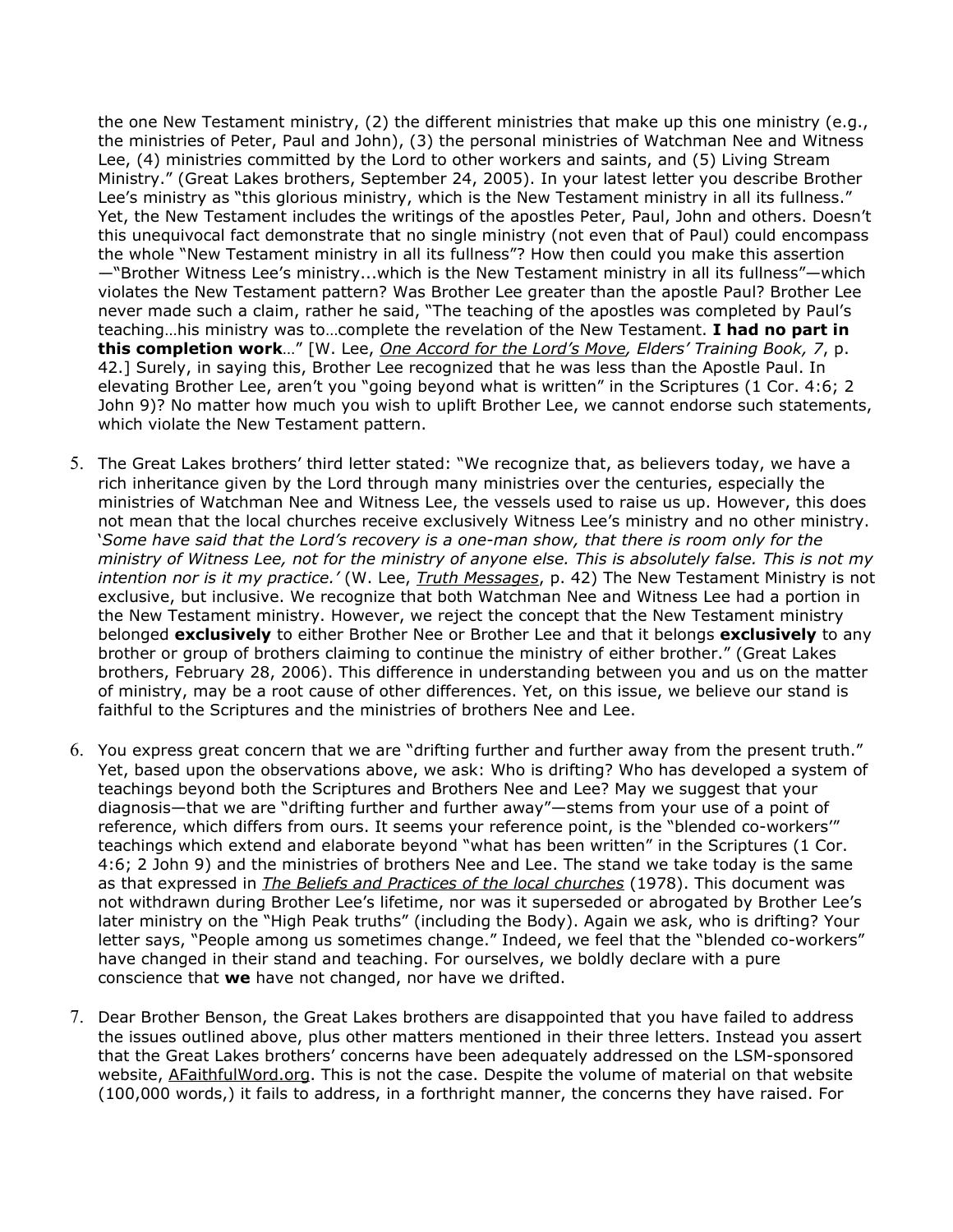the one New Testament ministry, (2) the different ministries that make up this one ministry (e.g., the ministries of Peter, Paul and John), (3) the personal ministries of Watchman Nee and Witness Lee, (4) ministries committed by the Lord to other workers and saints, and (5) Living Stream Ministry." (Great Lakes brothers, September 24, 2005). In your latest letter you describe Brother Lee's ministry as "this glorious ministry, which is the New Testament ministry in all its fullness." Yet, the New Testament includes the writings of the apostles Peter, Paul, John and others. Doesn't this unequivocal fact demonstrate that no single ministry (not even that of Paul) could encompass the whole "New Testament ministry in all its fullness"? How then could you make this assertion —"Brother Witness Lee's ministry...which is the New Testament ministry in all its fullness"—which violates the New Testament pattern? Was Brother Lee greater than the apostle Paul? Brother Lee never made such a claim, rather he said, "The teaching of the apostles was completed by Paul's teaching…his ministry was to…complete the revelation of the New Testament. **I had no part in this completion work**…" [W. Lee, *One Accord for the Lord's Move, Elders' Training Book, 7*, p. 42.] Surely, in saying this, Brother Lee recognized that he was less than the Apostle Paul. In elevating Brother Lee, aren't you "going beyond what is written" in the Scriptures (1 Cor. 4:6; 2 John 9)? No matter how much you wish to uplift Brother Lee, we cannot endorse such statements, which violate the New Testament pattern.

- 5. The Great Lakes brothers' third letter stated: "We recognize that, as believers today, we have a rich inheritance given by the Lord through many ministries over the centuries, especially the ministries of Watchman Nee and Witness Lee, the vessels used to raise us up. However, this does not mean that the local churches receive exclusively Witness Lee's ministry and no other ministry. '*Some have said that the Lord's recovery is a one-man show, that there is room only for the* ministry of Witness Lee, not for the ministry of anyone else. This is absolutely false. This is not my *intention nor is it my practice.'* (W. Lee, *Truth Messages*, p. 42) The New Testament Ministry is not exclusive, but inclusive. We recognize that both Watchman Nee and Witness Lee had a portion in the New Testament ministry. However, we reject the concept that the New Testament ministry belonged **exclusively** to either Brother Nee or Brother Lee and that it belongs **exclusively** to any brother or group of brothers claiming to continue the ministry of either brother." (Great Lakes brothers, February 28, 2006). This difference in understanding between you and us on the matter of ministry, may be a root cause of other differences. Yet, on this issue, we believe our stand is faithful to the Scriptures and the ministries of brothers Nee and Lee.
- 6. You express great concern that we are "drifting further and further away from the present truth." Yet, based upon the observations above, we ask: Who is drifting? Who has developed a system of teachings beyond both the Scriptures and Brothers Nee and Lee? May we suggest that your diagnosis—that we are "drifting further and further away"—stems from your use of a point of reference, which differs from ours. It seems your reference point, is the "blended co-workers'" teachings which extend and elaborate beyond "what has been written" in the Scriptures (1 Cor. 4:6; 2 John 9) and the ministries of brothers Nee and Lee. The stand we take today is the same as that expressed in *The Beliefs and Practices of the local churches* (1978). This document was not withdrawn during Brother Lee's lifetime, nor was it superseded or abrogated by Brother Lee's later ministry on the "High Peak truths" (including the Body). Again we ask, who is drifting? Your letter says, "People among us sometimes change." Indeed, we feel that the "blended co-workers" have changed in their stand and teaching. For ourselves, we boldly declare with a pure conscience that **we** have not changed, nor have we drifted.
- 7. Dear Brother Benson, the Great Lakes brothers are disappointed that you have failed to address the issues outlined above, plus other matters mentioned in their three letters. Instead you assert that the Great Lakes brothers' concerns have been adequately addressed on the LSM-sponsored website, AFaithfulWord.org. This is not the case. Despite the volume of material on that website (100,000 words,) it fails to address, in a forthright manner, the concerns they have raised. For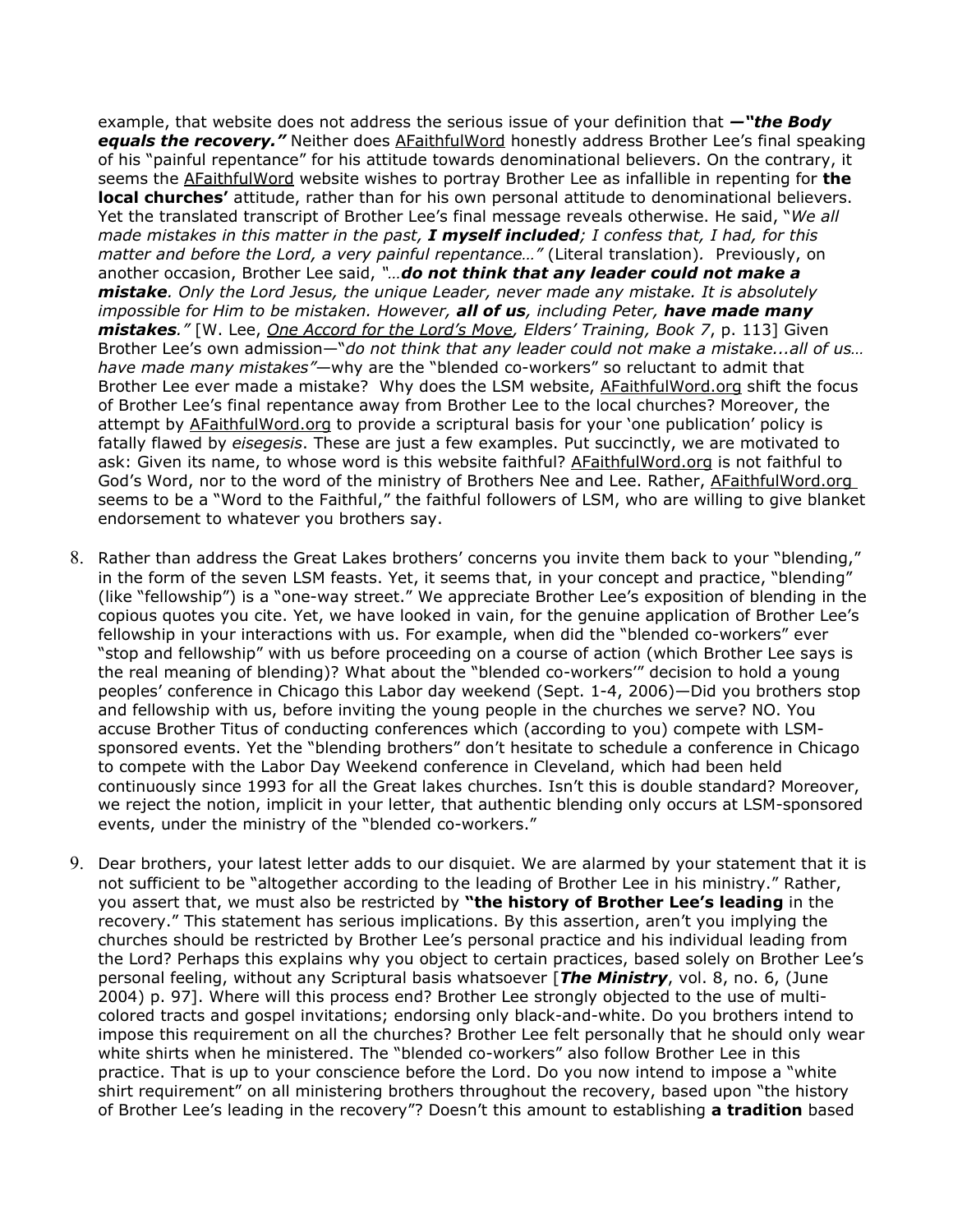example, that website does not address the serious issue of your definition that *—"the Body equals the recovery."* Neither does AFaithfulWord honestly address Brother Lee's final speaking of his "painful repentance" for his attitude towards denominational believers. On the contrary, it seems the AFaithfulWord website wishes to portray Brother Lee as infallible in repenting for **the local churches'** attitude, rather than for his own personal attitude to denominational believers. Yet the translated transcript of Brother Lee's final message reveals otherwise. He said, "*We all* made mistakes in this matter in the past, I myself included; I confess that, I had, for this *matter and before the Lord, a very painful repentance…"* (Literal translation)*.* Previously, on another occasion, Brother Lee said, *"…do not think that any leader could not make a mistake. Only the Lord Jesus, the unique Leader, never made any mistake. It is absolutely impossible for Him to be mistaken. However, all of us, including Peter, have made many mistakes."* [W. Lee, *One Accord for the Lord's Move, Elders' Training, Book 7*, p. 113] Given Brother Lee's own admission—"*do not think that any leader could not make a mistake...all of us… have made many mistakes"*—why are the "blended co-workers" so reluctant to admit that Brother Lee ever made a mistake? Why does the LSM website, AFaithfulWord.org shift the focus of Brother Lee's final repentance away from Brother Lee to the local churches? Moreover, the attempt by AFaithfulWord.org to provide a scriptural basis for your 'one publication' policy is fatally flawed by *eisegesis*. These are just a few examples. Put succinctly, we are motivated to ask: Given its name, to whose word is this website faithful? AFaithfulWord.org is not faithful to God's Word, nor to the word of the ministry of Brothers Nee and Lee. Rather, AFaithfulWord.org seems to be a "Word to the Faithful," the faithful followers of LSM, who are willing to give blanket endorsement to whatever you brothers say.

- 8. Rather than address the Great Lakes brothers' concerns you invite them back to your "blending," in the form of the seven LSM feasts. Yet, it seems that, in your concept and practice, "blending" (like "fellowship") is a "one-way street." We appreciate Brother Lee's exposition of blending in the copious quotes you cite. Yet, we have looked in vain, for the genuine application of Brother Lee's fellowship in your interactions with us. For example, when did the "blended co-workers" ever "stop and fellowship" with us before proceeding on a course of action (which Brother Lee says is the real meaning of blending)? What about the "blended co-workers'" decision to hold a young peoples' conference in Chicago this Labor day weekend (Sept. 1-4, 2006)—Did you brothers stop and fellowship with us, before inviting the young people in the churches we serve? NO. You accuse Brother Titus of conducting conferences which (according to you) compete with LSMsponsored events. Yet the "blending brothers" don't hesitate to schedule a conference in Chicago to compete with the Labor Day Weekend conference in Cleveland, which had been held continuously since 1993 for all the Great lakes churches. Isn't this is double standard? Moreover, we reject the notion, implicit in your letter, that authentic blending only occurs at LSM-sponsored events, under the ministry of the "blended co-workers."
- 9. Dear brothers, your latest letter adds to our disquiet. We are alarmed by your statement that it is not sufficient to be "altogether according to the leading of Brother Lee in his ministry." Rather, you assert that, we must also be restricted by **"the history of Brother Lee's leading** in the recovery." This statement has serious implications. By this assertion, aren't you implying the churches should be restricted by Brother Lee's personal practice and his individual leading from the Lord? Perhaps this explains why you object to certain practices, based solely on Brother Lee's personal feeling, without any Scriptural basis whatsoever [*The Ministry*, vol. 8, no. 6, (June 2004) p. 97]. Where will this process end? Brother Lee strongly objected to the use of multicolored tracts and gospel invitations; endorsing only black-and-white. Do you brothers intend to impose this requirement on all the churches? Brother Lee felt personally that he should only wear white shirts when he ministered. The "blended co-workers" also follow Brother Lee in this practice. That is up to your conscience before the Lord. Do you now intend to impose a "white shirt requirement" on all ministering brothers throughout the recovery, based upon "the history of Brother Lee's leading in the recovery"? Doesn't this amount to establishing **a tradition** based